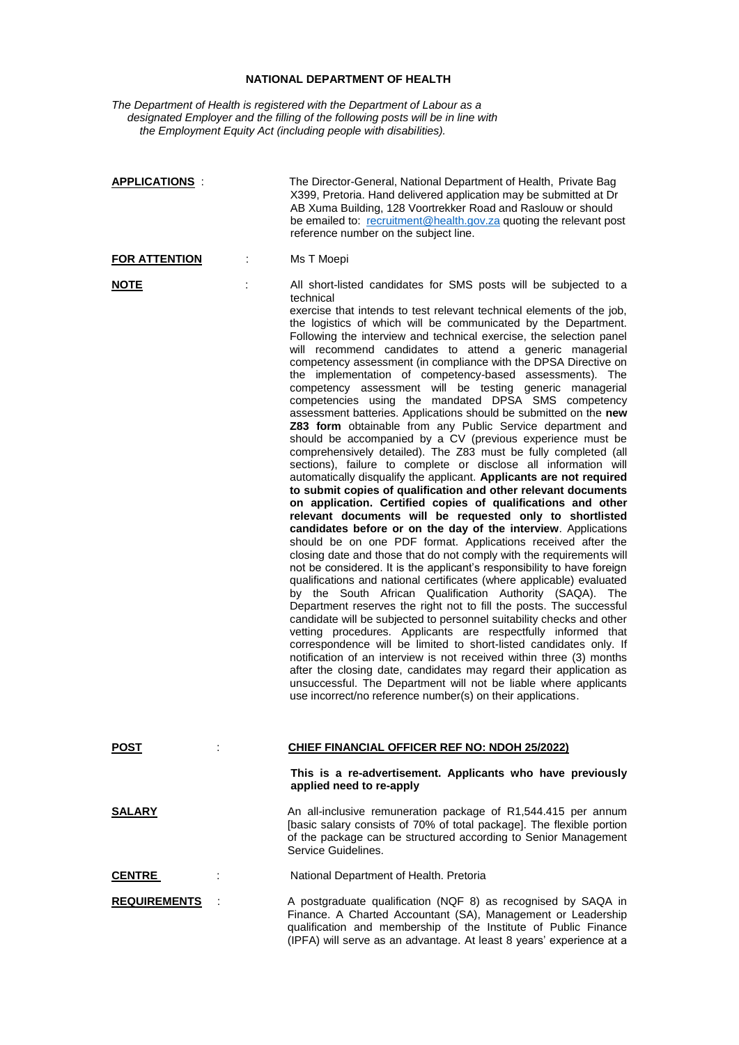## **NATIONAL DEPARTMENT OF HEALTH**

*The Department of Health is registered with the Department of Labour as a designated Employer and the filling of the following posts will be in line with the Employment Equity Act (including people with disabilities).*

| <b>APPLICATIONS:</b> | The Director-General, National Department of Health, Private Bag<br>X399, Pretoria. Hand delivered application may be submitted at Dr<br>AB Xuma Building, 128 Voortrekker Road and Raslouw or should<br>be emailed to: recruitment@health.gov.za quoting the relevant post<br>reference number on the subject line.                                                                                                                                                                                                                                                                                                                                                                                                                                                                                                                                                                                                                                                                                                                                                                                                                                                                                                                                                                                                                                                                                                                                                                                                                                                                                                                                                                                                                                                                                                                                                                                                                                                                                                                                                                                                                                                                                                        |
|----------------------|-----------------------------------------------------------------------------------------------------------------------------------------------------------------------------------------------------------------------------------------------------------------------------------------------------------------------------------------------------------------------------------------------------------------------------------------------------------------------------------------------------------------------------------------------------------------------------------------------------------------------------------------------------------------------------------------------------------------------------------------------------------------------------------------------------------------------------------------------------------------------------------------------------------------------------------------------------------------------------------------------------------------------------------------------------------------------------------------------------------------------------------------------------------------------------------------------------------------------------------------------------------------------------------------------------------------------------------------------------------------------------------------------------------------------------------------------------------------------------------------------------------------------------------------------------------------------------------------------------------------------------------------------------------------------------------------------------------------------------------------------------------------------------------------------------------------------------------------------------------------------------------------------------------------------------------------------------------------------------------------------------------------------------------------------------------------------------------------------------------------------------------------------------------------------------------------------------------------------------|
| <b>FOR ATTENTION</b> | Ms T Moepi                                                                                                                                                                                                                                                                                                                                                                                                                                                                                                                                                                                                                                                                                                                                                                                                                                                                                                                                                                                                                                                                                                                                                                                                                                                                                                                                                                                                                                                                                                                                                                                                                                                                                                                                                                                                                                                                                                                                                                                                                                                                                                                                                                                                                  |
| <u>NOTE</u>          | All short-listed candidates for SMS posts will be subjected to a<br>technical<br>exercise that intends to test relevant technical elements of the job,<br>the logistics of which will be communicated by the Department.<br>Following the interview and technical exercise, the selection panel<br>will recommend candidates to attend a generic managerial<br>competency assessment (in compliance with the DPSA Directive on<br>the implementation of competency-based assessments). The<br>competency assessment will be testing generic managerial<br>competencies using the mandated DPSA SMS competency<br>assessment batteries. Applications should be submitted on the new<br>Z83 form obtainable from any Public Service department and<br>should be accompanied by a CV (previous experience must be<br>comprehensively detailed). The Z83 must be fully completed (all<br>sections), failure to complete or disclose all information will<br>automatically disqualify the applicant. Applicants are not required<br>to submit copies of qualification and other relevant documents<br>on application. Certified copies of qualifications and other<br>relevant documents will be requested only to shortlisted<br>candidates before or on the day of the interview. Applications<br>should be on one PDF format. Applications received after the<br>closing date and those that do not comply with the requirements will<br>not be considered. It is the applicant's responsibility to have foreign<br>qualifications and national certificates (where applicable) evaluated<br>by the South African Qualification Authority (SAQA). The<br>Department reserves the right not to fill the posts. The successful<br>candidate will be subjected to personnel suitability checks and other<br>vetting procedures. Applicants are respectfully informed that<br>correspondence will be limited to short-listed candidates only. If<br>notification of an interview is not received within three (3) months<br>after the closing date, candidates may regard their application as<br>unsuccessful. The Department will not be liable where applicants<br>use incorrect/no reference number(s) on their applications. |
| POST                 | <b>CHIEF FINANCIAL OFFICER REF NO: NDOH 25/2022)</b><br>This is a re-advertisement. Applicants who have previously                                                                                                                                                                                                                                                                                                                                                                                                                                                                                                                                                                                                                                                                                                                                                                                                                                                                                                                                                                                                                                                                                                                                                                                                                                                                                                                                                                                                                                                                                                                                                                                                                                                                                                                                                                                                                                                                                                                                                                                                                                                                                                          |
|                      | applied need to re-apply                                                                                                                                                                                                                                                                                                                                                                                                                                                                                                                                                                                                                                                                                                                                                                                                                                                                                                                                                                                                                                                                                                                                                                                                                                                                                                                                                                                                                                                                                                                                                                                                                                                                                                                                                                                                                                                                                                                                                                                                                                                                                                                                                                                                    |
| <u>SALARY</u>        | An all-inclusive remuneration package of R1,544.415 per annum<br>[basic salary consists of 70% of total package]. The flexible portion<br>of the package can be structured according to Senior Management<br>Service Guidelines.                                                                                                                                                                                                                                                                                                                                                                                                                                                                                                                                                                                                                                                                                                                                                                                                                                                                                                                                                                                                                                                                                                                                                                                                                                                                                                                                                                                                                                                                                                                                                                                                                                                                                                                                                                                                                                                                                                                                                                                            |
| <b>CENTRE</b>        | National Department of Health. Pretoria                                                                                                                                                                                                                                                                                                                                                                                                                                                                                                                                                                                                                                                                                                                                                                                                                                                                                                                                                                                                                                                                                                                                                                                                                                                                                                                                                                                                                                                                                                                                                                                                                                                                                                                                                                                                                                                                                                                                                                                                                                                                                                                                                                                     |
| <b>REQUIREMENTS</b>  | A postgraduate qualification (NQF 8) as recognised by SAQA in<br>Finance. A Charted Accountant (SA), Management or Leadership<br>qualification and membership of the Institute of Public Finance<br>(IPFA) will serve as an advantage. At least 8 years' experience at a                                                                                                                                                                                                                                                                                                                                                                                                                                                                                                                                                                                                                                                                                                                                                                                                                                                                                                                                                                                                                                                                                                                                                                                                                                                                                                                                                                                                                                                                                                                                                                                                                                                                                                                                                                                                                                                                                                                                                    |